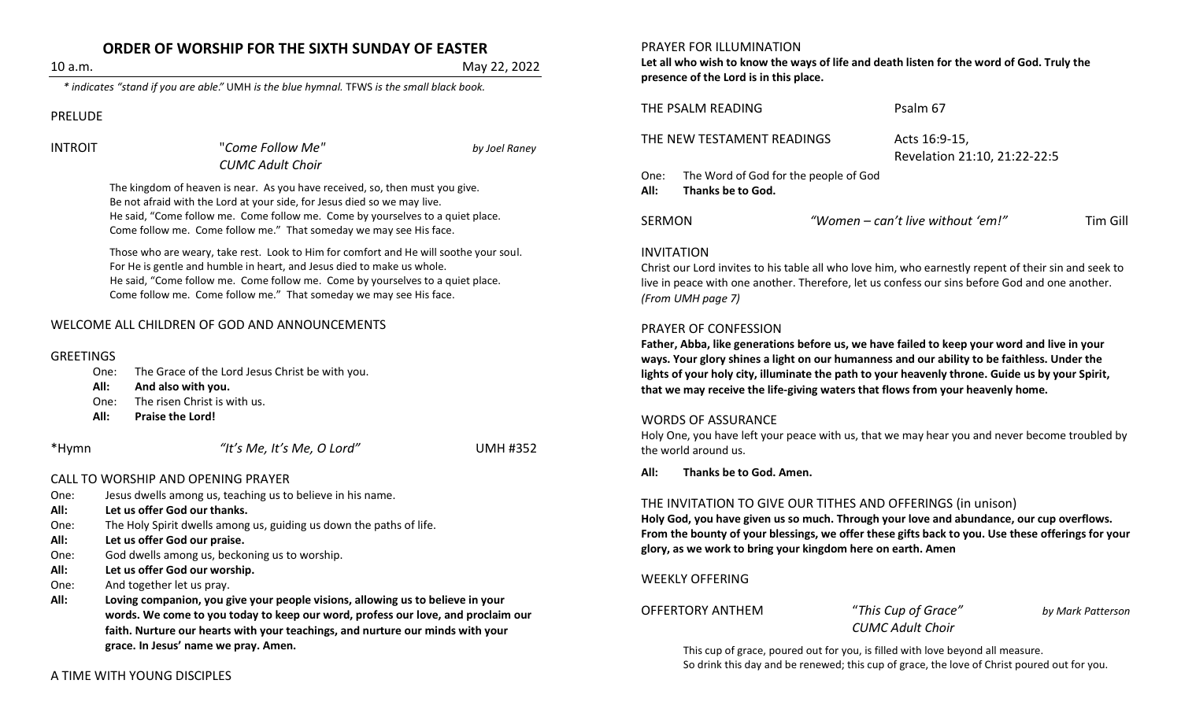# **ORDER OF WORSHIP FOR THE SIXTH SUNDAY OF EASTER**

10 a.m. May 22, 2022

*\* indicates "stand if you are able."* UMH *is the blue hymnal.* TFWS *is the small black book.*

PRELUDE

INTROIT "*Come Follow Me" by Joel Raney CUMC Adult Choir*

The kingdom of heaven is near. As you have received, so, then must you give. Be not afraid with the Lord at your side, for Jesus died so we may live. He said, "Come follow me. Come follow me. Come by yourselves to a quiet place. Come follow me. Come follow me." That someday we may see His face.

Those who are weary, take rest. Look to Him for comfort and He will soothe your soul. For He is gentle and humble in heart, and Jesus died to make us whole. He said, "Come follow me. Come follow me. Come by yourselves to a quiet place. Come follow me. Come follow me." That someday we may see His face.

# WELCOME ALL CHILDREN OF GOD AND ANNOUNCEMENTS

#### **GREETINGS**

| One: | The Grace of the Lord Jesus Christ be with you. |
|------|-------------------------------------------------|
|------|-------------------------------------------------|

#### **All: And also with you.**

- One: The risen Christ is with us.
- **All: Praise the Lord!**

\*Hymn *"It's Me, It's Me, O Lord"* UMH #352

#### CALL TO WORSHIP AND OPENING PRAYER

- One: Jesus dwells among us, teaching us to believe in his name.
- **All: Let us offer God our thanks.**
- One: The Holy Spirit dwells among us, guiding us down the paths of life.
- **All: Let us offer God our praise.**
- One: God dwells among us, beckoning us to worship.
- **All: Let us offer God our worship.**
- One: And together let us pray.
- **All: Loving companion, you give your people visions, allowing us to believe in your words. We come to you today to keep our word, profess our love, and proclaim our faith. Nurture our hearts with your teachings, and nurture our minds with your grace. In Jesus' name we pray. Amen.**

# A TIME WITH YOUNG DISCIPLES

#### PRAYER FOR ILLUMINATION

**Let all who wish to know the ways of life and death listen for the word of God. Truly the presence of the Lord is in this place.**

THE PSALM READING Psalm 67

THE NEW TESTAMENT READINGS Acts 16:9-15,

Revelation 21:10, 21:22-22:5

One: The Word of God for the people of God **All: Thanks be to God.**

SERMON *"Women – can't live without 'em!"* Tim Gill

## INVITATION

Christ our Lord invites to his table all who love him, who earnestly repent of their sin and seek to live in peace with one another. Therefore, let us confess our sins before God and one another. *(From UMH page 7)*

## PRAYER OF CONFESSION

**Father, Abba, like generations before us, we have failed to keep your word and live in your ways. Your glory shines a light on our humanness and our ability to be faithless. Under the lights of your holy city, illuminate the path to your heavenly throne. Guide us by your Spirit, that we may receive the life-giving waters that flows from your heavenly home.**

#### WORDS OF ASSURANCE

Holy One, you have left your peace with us, that we may hear you and never become troubled by the world around us.

**All: Thanks be to God. Amen.**

# THE INVITATION TO GIVE OUR TITHES AND OFFERINGS (in unison)

**Holy God, you have given us so much. Through your love and abundance, our cup overflows. From the bounty of your blessings, we offer these gifts back to you. Use these offerings for your glory, as we work to bring your kingdom here on earth. Amen**

# WEEKLY OFFERING

OFFERTORY ANTHEM "*This Cup of Grace" by Mark Patterson*

*CUMC Adult Choir*

This cup of grace, poured out for you, is filled with love beyond all measure. So drink this day and be renewed; this cup of grace, the love of Christ poured out for you.